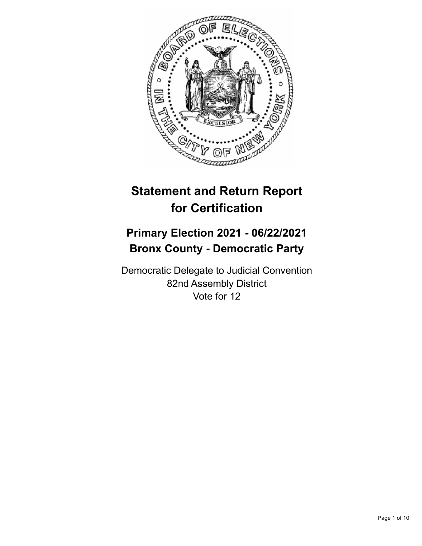

# **Statement and Return Report for Certification**

## **Primary Election 2021 - 06/22/2021 Bronx County - Democratic Party**

Democratic Delegate to Judicial Convention 82nd Assembly District Vote for 12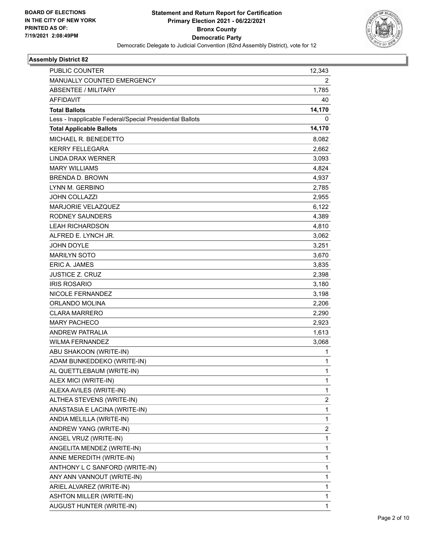

| <b>PUBLIC COUNTER</b>                                    | 12,343                  |
|----------------------------------------------------------|-------------------------|
| MANUALLY COUNTED EMERGENCY                               | 2                       |
| <b>ABSENTEE / MILITARY</b>                               | 1,785                   |
| <b>AFFIDAVIT</b>                                         | 40                      |
| <b>Total Ballots</b>                                     | 14,170                  |
| Less - Inapplicable Federal/Special Presidential Ballots | 0                       |
| <b>Total Applicable Ballots</b>                          | 14,170                  |
| MICHAEL R. BENEDETTO                                     | 8,082                   |
| <b>KERRY FELLEGARA</b>                                   | 2,662                   |
| <b>LINDA DRAX WERNER</b>                                 | 3,093                   |
| <b>MARY WILLIAMS</b>                                     | 4,824                   |
| <b>BRENDA D. BROWN</b>                                   | 4,937                   |
| LYNN M. GERBINO                                          | 2,785                   |
| <b>JOHN COLLAZZI</b>                                     | 2,955                   |
| MARJORIE VELAZQUEZ                                       | 6,122                   |
| RODNEY SAUNDERS                                          | 4,389                   |
| <b>LEAH RICHARDSON</b>                                   | 4,810                   |
| ALFRED E. LYNCH JR.                                      | 3,062                   |
| <b>JOHN DOYLE</b>                                        | 3,251                   |
| <b>MARILYN SOTO</b>                                      | 3,670                   |
| <b>ERIC A. JAMES</b>                                     | 3,835                   |
| JUSTICE Z. CRUZ                                          | 2,398                   |
| <b>IRIS ROSARIO</b>                                      | 3,180                   |
| NICOLE FERNANDEZ                                         | 3,198                   |
| ORLANDO MOLINA                                           | 2,206                   |
| <b>CLARA MARRERO</b>                                     | 2,290                   |
| <b>MARY PACHECO</b>                                      | 2,923                   |
| <b>ANDREW PATRALIA</b>                                   | 1,613                   |
| <b>WILMA FERNANDEZ</b>                                   | 3,068                   |
| ABU SHAKOON (WRITE-IN)                                   | 1                       |
| ADAM BUNKEDDEKO (WRITE-IN)                               | $\mathbf{1}$            |
| AL QUETTLEBAUM (WRITE-IN)                                | 1                       |
| ALEX MICI (WRITE-IN)                                     | 1                       |
| ALEXA AVILES (WRITE-IN)                                  | $\mathbf{1}$            |
| ALTHEA STEVENS (WRITE-IN)                                | 2                       |
| ANASTASIA E LACINA (WRITE-IN)                            | $\mathbf{1}$            |
| ANDIA MELILLA (WRITE-IN)                                 | $\mathbf{1}$            |
| ANDREW YANG (WRITE-IN)                                   | $\overline{\mathbf{c}}$ |
| ANGEL VRUZ (WRITE-IN)                                    | $\mathbf{1}$            |
| ANGELITA MENDEZ (WRITE-IN)                               | $\mathbf{1}$            |
| ANNE MEREDITH (WRITE-IN)                                 | $\mathbf{1}$            |
| ANTHONY L C SANFORD (WRITE-IN)                           | $\mathbf{1}$            |
| ANY ANN VANNOUT (WRITE-IN)                               | $\mathbf{1}$            |
| ARIEL ALVAREZ (WRITE-IN)                                 | 1                       |
| <b>ASHTON MILLER (WRITE-IN)</b>                          | 1                       |
| AUGUST HUNTER (WRITE-IN)                                 | $\mathbf{1}$            |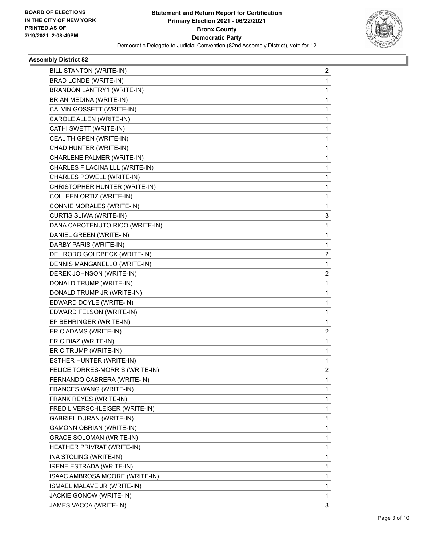

| BILL STANTON (WRITE-IN)         | 2                       |
|---------------------------------|-------------------------|
| BRAD LONDE (WRITE-IN)           | $\mathbf{1}$            |
| BRANDON LANTRY1 (WRITE-IN)      | 1                       |
| BRIAN MEDINA (WRITE-IN)         | 1                       |
| CALVIN GOSSETT (WRITE-IN)       | 1                       |
| CAROLE ALLEN (WRITE-IN)         | 1                       |
| CATHI SWETT (WRITE-IN)          | 1                       |
| CEAL THIGPEN (WRITE-IN)         | $\mathbf{1}$            |
| CHAD HUNTER (WRITE-IN)          | 1                       |
| CHARLENE PALMER (WRITE-IN)      | 1                       |
| CHARLES F LACINA LLL (WRITE-IN) | 1                       |
| CHARLES POWELL (WRITE-IN)       | 1                       |
| CHRISTOPHER HUNTER (WRITE-IN)   | 1                       |
| COLLEEN ORTIZ (WRITE-IN)        | $\mathbf{1}$            |
| CONNIE MORALES (WRITE-IN)       | 1                       |
| CURTIS SLIWA (WRITE-IN)         | 3                       |
| DANA CAROTENUTO RICO (WRITE-IN) | $\mathbf{1}$            |
| DANIEL GREEN (WRITE-IN)         | 1                       |
| DARBY PARIS (WRITE-IN)          | 1                       |
| DEL RORO GOLDBECK (WRITE-IN)    | $\overline{\mathbf{c}}$ |
| DENNIS MANGANELLO (WRITE-IN)    | $\mathbf{1}$            |
| DEREK JOHNSON (WRITE-IN)        | $\overline{c}$          |
| DONALD TRUMP (WRITE-IN)         | $\mathbf{1}$            |
| DONALD TRUMP JR (WRITE-IN)      | 1                       |
| EDWARD DOYLE (WRITE-IN)         | 1                       |
| EDWARD FELSON (WRITE-IN)        | $\mathbf{1}$            |
| EP BEHRINGER (WRITE-IN)         | 1                       |
| ERIC ADAMS (WRITE-IN)           | $\overline{2}$          |
| ERIC DIAZ (WRITE-IN)            | 1                       |
| ERIC TRUMP (WRITE-IN)           | 1                       |
| ESTHER HUNTER (WRITE-IN)        | 1                       |
| FELICE TORRES-MORRIS (WRITE-IN) | $\overline{\mathbf{c}}$ |
| FERNANDO CABRERA (WRITE-IN)     | 1                       |
| FRANCES WANG (WRITE-IN)         | 1                       |
| FRANK REYES (WRITE-IN)          | $\mathbf{1}$            |
| FRED L VERSCHLEISER (WRITE-IN)  | 1                       |
| <b>GABRIEL DURAN (WRITE-IN)</b> | 1                       |
| <b>GAMONN OBRIAN (WRITE-IN)</b> | 1                       |
| <b>GRACE SOLOMAN (WRITE-IN)</b> | 1                       |
| HEATHER PRIVRAT (WRITE-IN)      | 1                       |
| INA STOLING (WRITE-IN)          | $\mathbf{1}$            |
| IRENE ESTRADA (WRITE-IN)        | 1                       |
| ISAAC AMBROSA MOORE (WRITE-IN)  | 1                       |
| ISMAEL MALAVE JR (WRITE-IN)     | 1                       |
| <b>JACKIE GONOW (WRITE-IN)</b>  | 1                       |
| JAMES VACCA (WRITE-IN)          | 3                       |
|                                 |                         |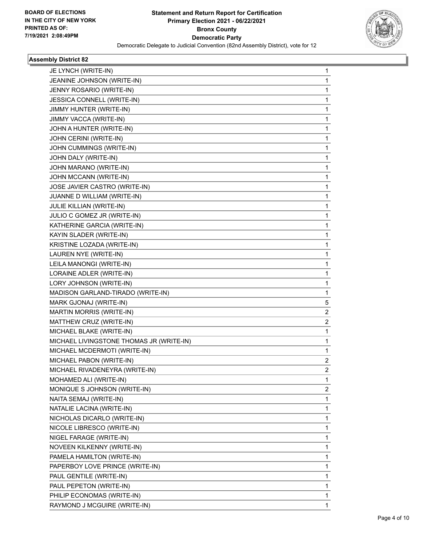

| JE LYNCH (WRITE-IN)                      | 1 |
|------------------------------------------|---|
| JEANINE JOHNSON (WRITE-IN)               | 1 |
| JENNY ROSARIO (WRITE-IN)                 | 1 |
| JESSICA CONNELL (WRITE-IN)               | 1 |
| JIMMY HUNTER (WRITE-IN)                  | 1 |
| JIMMY VACCA (WRITE-IN)                   | 1 |
| JOHN A HUNTER (WRITE-IN)                 | 1 |
| JOHN CERINI (WRITE-IN)                   | 1 |
| JOHN CUMMINGS (WRITE-IN)                 | 1 |
| JOHN DALY (WRITE-IN)                     | 1 |
| JOHN MARANO (WRITE-IN)                   | 1 |
| JOHN MCCANN (WRITE-IN)                   | 1 |
| JOSE JAVIER CASTRO (WRITE-IN)            | 1 |
| JUANNE D WILLIAM (WRITE-IN)              | 1 |
| JULIE KILLIAN (WRITE-IN)                 | 1 |
| JULIO C GOMEZ JR (WRITE-IN)              | 1 |
| KATHERINE GARCIA (WRITE-IN)              | 1 |
| KAYIN SLADER (WRITE-IN)                  | 1 |
| KRISTINE LOZADA (WRITE-IN)               | 1 |
| LAUREN NYE (WRITE-IN)                    | 1 |
| LEILA MANONGI (WRITE-IN)                 | 1 |
| LORAINE ADLER (WRITE-IN)                 | 1 |
| LORY JOHNSON (WRITE-IN)                  | 1 |
| MADISON GARLAND-TIRADO (WRITE-IN)        | 1 |
| MARK GJONAJ (WRITE-IN)                   | 5 |
| MARTIN MORRIS (WRITE-IN)                 | 2 |
| MATTHEW CRUZ (WRITE-IN)                  | 2 |
| MICHAEL BLAKE (WRITE-IN)                 | 1 |
| MICHAEL LIVINGSTONE THOMAS JR (WRITE-IN) | 1 |
| MICHAEL MCDERMOTI (WRITE-IN)             | 1 |
| MICHAEL PABON (WRITE-IN)                 | 2 |
| MICHAEL RIVADENEYRA (WRITE-IN)           | 2 |
| MOHAMED ALI (WRITE-IN)                   | 1 |
| MONIQUE S JOHNSON (WRITE-IN)             | 2 |
| NAITA SEMAJ (WRITE-IN)                   | 1 |
| NATALIE LACINA (WRITE-IN)                | 1 |
| NICHOLAS DICARLO (WRITE-IN)              | 1 |
| NICOLE LIBRESCO (WRITE-IN)               | 1 |
| NIGEL FARAGE (WRITE-IN)                  | 1 |
| NOVEEN KILKENNY (WRITE-IN)               | 1 |
| PAMELA HAMILTON (WRITE-IN)               | 1 |
| PAPERBOY LOVE PRINCE (WRITE-IN)          | 1 |
| PAUL GENTILE (WRITE-IN)                  | 1 |
| PAUL PEPETON (WRITE-IN)                  | 1 |
| PHILIP ECONOMAS (WRITE-IN)               | 1 |
| RAYMOND J MCGUIRE (WRITE-IN)             | 1 |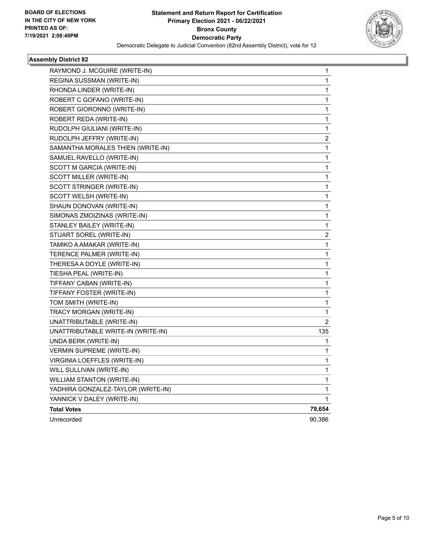

| RAYMOND J. MCGUIRE (WRITE-IN)      | 1                       |
|------------------------------------|-------------------------|
| REGINA SUSSMAN (WRITE-IN)          | 1                       |
| RHONDA LINDER (WRITE-IN)           | 1                       |
| ROBERT C GOFANO (WRITE-IN)         | 1                       |
| ROBERT GIORONNO (WRITE-IN)         | 1                       |
| ROBERT REDA (WRITE-IN)             | 1                       |
| RUDOLPH GIULIANI (WRITE-IN)        | 1                       |
| RUDOLPH JEFFRY (WRITE-IN)          | $\overline{\mathbf{c}}$ |
| SAMANTHA MORALES THIEN (WRITE-IN)  | 1                       |
| SAMUEL RAVELLO (WRITE-IN)          | 1                       |
| SCOTT M GARCIA (WRITE-IN)          | 1                       |
| SCOTT MILLER (WRITE-IN)            | 1                       |
| SCOTT STRINGER (WRITE-IN)          | 1                       |
| SCOTT WELSH (WRITE-IN)             | 1                       |
| SHAUN DONOVAN (WRITE-IN)           | 1                       |
| SIMONAS ZMOIZINAS (WRITE-IN)       | 1                       |
| STANLEY BAILEY (WRITE-IN)          | 1                       |
| STUART SOREL (WRITE-IN)            | 2                       |
| TAMIKO A AMAKAR (WRITE-IN)         | 1                       |
| TERENCE PALMER (WRITE-IN)          | 1                       |
| THERESA A DOYLE (WRITE-IN)         | 1                       |
| TIESHA PEAL (WRITE-IN)             | 1                       |
| TIFFANY CABAN (WRITE-IN)           | 1                       |
| TIFFANY FOSTER (WRITE-IN)          | 1                       |
| TOM SMITH (WRITE-IN)               | 1                       |
| TRACY MORGAN (WRITE-IN)            | 1                       |
| UNATTRIBUTABLE (WRITE-IN)          | 2                       |
| UNATTRIBUTABLE WRITE-IN (WRITE-IN) | 135                     |
| UNDA BERK (WRITE-IN)               | 1                       |
| VERMIN SUPREME (WRITE-IN)          | 1                       |
| VIRGINIA LOEFFLES (WRITE-IN)       | 1                       |
| WILL SULLIVAN (WRITE-IN)           | 1                       |
| WILLIAM STANTON (WRITE-IN)         | 1                       |
| YADHIRA GONZALEZ-TAYLOR (WRITE-IN) | 1                       |
| YANNICK V DALEY (WRITE-IN)         | 1                       |
| <b>Total Votes</b>                 | 79,654                  |
| Unrecorded                         | 90,386                  |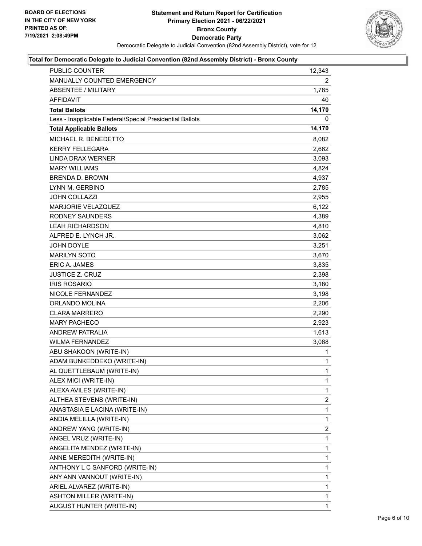

| PUBLIC COUNTER                                           | 12,343       |
|----------------------------------------------------------|--------------|
| MANUALLY COUNTED EMERGENCY                               | 2            |
| <b>ABSENTEE / MILITARY</b>                               | 1,785        |
| AFFIDAVIT                                                | 40           |
| <b>Total Ballots</b>                                     | 14,170       |
| Less - Inapplicable Federal/Special Presidential Ballots | 0            |
| <b>Total Applicable Ballots</b>                          | 14,170       |
| MICHAEL R. BENEDETTO                                     | 8,082        |
| <b>KERRY FELLEGARA</b>                                   | 2,662        |
| LINDA DRAX WERNER                                        | 3,093        |
| <b>MARY WILLIAMS</b>                                     | 4,824        |
| <b>BRENDA D. BROWN</b>                                   | 4,937        |
| LYNN M. GERBINO                                          | 2,785        |
| <b>JOHN COLLAZZI</b>                                     | 2,955        |
| MARJORIE VELAZQUEZ                                       | 6,122        |
| <b>RODNEY SAUNDERS</b>                                   | 4,389        |
| <b>LEAH RICHARDSON</b>                                   | 4,810        |
| ALFRED E. LYNCH JR.                                      | 3,062        |
| <b>JOHN DOYLE</b>                                        | 3,251        |
| <b>MARILYN SOTO</b>                                      | 3,670        |
| <b>ERIC A. JAMES</b>                                     | 3,835        |
| <b>JUSTICE Z. CRUZ</b>                                   | 2,398        |
| <b>IRIS ROSARIO</b>                                      | 3,180        |
| NICOLE FERNANDEZ                                         | 3,198        |
| ORLANDO MOLINA                                           | 2,206        |
| <b>CLARA MARRERO</b>                                     | 2,290        |
| <b>MARY PACHECO</b>                                      | 2,923        |
| <b>ANDREW PATRALIA</b>                                   | 1,613        |
| <b>WILMA FERNANDEZ</b>                                   | 3,068        |
| ABU SHAKOON (WRITE-IN)                                   | 1            |
| ADAM BUNKEDDEKO (WRITE-IN)                               | 1            |
| AL QUETTLEBAUM (WRITE-IN)                                | $\mathbf{1}$ |
| ALEX MICI (WRITE-IN)                                     | 1            |
| ALEXA AVILES (WRITE-IN)                                  | 1            |
| ALTHEA STEVENS (WRITE-IN)                                | 2            |
| ANASTASIA E LACINA (WRITE-IN)                            | 1            |
| ANDIA MELILLA (WRITE-IN)                                 | 1            |
| ANDREW YANG (WRITE-IN)                                   | 2            |
| ANGEL VRUZ (WRITE-IN)                                    | 1            |
| ANGELITA MENDEZ (WRITE-IN)                               | 1            |
| ANNE MEREDITH (WRITE-IN)                                 | 1            |
| ANTHONY L C SANFORD (WRITE-IN)                           | 1            |
| ANY ANN VANNOUT (WRITE-IN)                               | 1            |
| ARIEL ALVAREZ (WRITE-IN)                                 | 1            |
| <b>ASHTON MILLER (WRITE-IN)</b>                          | 1            |
| AUGUST HUNTER (WRITE-IN)                                 | 1            |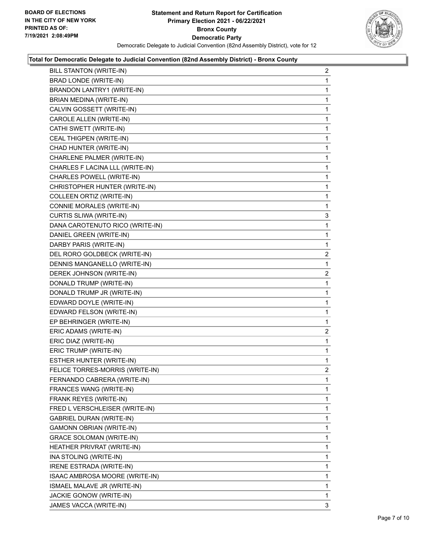

| BILL STANTON (WRITE-IN)         | $\overline{2}$          |
|---------------------------------|-------------------------|
| BRAD LONDE (WRITE-IN)           | 1                       |
| BRANDON LANTRY1 (WRITE-IN)      | 1                       |
| BRIAN MEDINA (WRITE-IN)         | 1                       |
| CALVIN GOSSETT (WRITE-IN)       | 1                       |
| CAROLE ALLEN (WRITE-IN)         | 1                       |
| CATHI SWETT (WRITE-IN)          | 1                       |
| CEAL THIGPEN (WRITE-IN)         | $\mathbf{1}$            |
| CHAD HUNTER (WRITE-IN)          | 1                       |
| CHARLENE PALMER (WRITE-IN)      | 1                       |
| CHARLES F LACINA LLL (WRITE-IN) | 1                       |
| CHARLES POWELL (WRITE-IN)       | 1                       |
| CHRISTOPHER HUNTER (WRITE-IN)   | 1                       |
| COLLEEN ORTIZ (WRITE-IN)        | 1                       |
| CONNIE MORALES (WRITE-IN)       | 1                       |
| CURTIS SLIWA (WRITE-IN)         | 3                       |
| DANA CAROTENUTO RICO (WRITE-IN) | 1                       |
| DANIEL GREEN (WRITE-IN)         | 1                       |
| DARBY PARIS (WRITE-IN)          | 1                       |
| DEL RORO GOLDBECK (WRITE-IN)    | $\overline{\mathbf{c}}$ |
| DENNIS MANGANELLO (WRITE-IN)    | 1                       |
| DEREK JOHNSON (WRITE-IN)        | $\overline{2}$          |
| DONALD TRUMP (WRITE-IN)         | 1                       |
| DONALD TRUMP JR (WRITE-IN)      | 1                       |
| EDWARD DOYLE (WRITE-IN)         | 1                       |
| EDWARD FELSON (WRITE-IN)        | $\mathbf{1}$            |
| EP BEHRINGER (WRITE-IN)         | 1                       |
| ERIC ADAMS (WRITE-IN)           | $\overline{2}$          |
| ERIC DIAZ (WRITE-IN)            | 1                       |
| ERIC TRUMP (WRITE-IN)           | 1                       |
| <b>ESTHER HUNTER (WRITE-IN)</b> | 1                       |
| FELICE TORRES-MORRIS (WRITE-IN) | $\overline{a}$          |
| FERNANDO CABRERA (WRITE-IN)     | 1                       |
| FRANCES WANG (WRITE-IN)         | 1                       |
| FRANK REYES (WRITE-IN)          | 1                       |
| FRED L VERSCHLEISER (WRITE-IN)  | 1                       |
| <b>GABRIEL DURAN (WRITE-IN)</b> | 1                       |
| <b>GAMONN OBRIAN (WRITE-IN)</b> | 1                       |
| GRACE SOLOMAN (WRITE-IN)        | 1                       |
| HEATHER PRIVRAT (WRITE-IN)      | 1                       |
| INA STOLING (WRITE-IN)          | 1                       |
| IRENE ESTRADA (WRITE-IN)        | 1                       |
| ISAAC AMBROSA MOORE (WRITE-IN)  | 1                       |
| ISMAEL MALAVE JR (WRITE-IN)     | 1                       |
| JACKIE GONOW (WRITE-IN)         | 1                       |
| JAMES VACCA (WRITE-IN)          | 3                       |
|                                 |                         |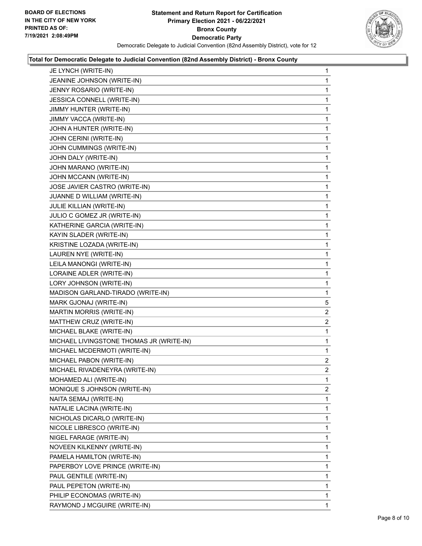

| JE LYNCH (WRITE-IN)                      | 1              |
|------------------------------------------|----------------|
| JEANINE JOHNSON (WRITE-IN)               | 1              |
| JENNY ROSARIO (WRITE-IN)                 | 1              |
| JESSICA CONNELL (WRITE-IN)               | 1              |
| JIMMY HUNTER (WRITE-IN)                  | 1              |
| JIMMY VACCA (WRITE-IN)                   | 1              |
| JOHN A HUNTER (WRITE-IN)                 | 1              |
| JOHN CERINI (WRITE-IN)                   | 1              |
| JOHN CUMMINGS (WRITE-IN)                 | 1              |
| JOHN DALY (WRITE-IN)                     | 1              |
| JOHN MARANO (WRITE-IN)                   | 1              |
| JOHN MCCANN (WRITE-IN)                   | 1              |
| JOSE JAVIER CASTRO (WRITE-IN)            | 1              |
| JUANNE D WILLIAM (WRITE-IN)              | 1              |
| JULIE KILLIAN (WRITE-IN)                 | 1              |
| JULIO C GOMEZ JR (WRITE-IN)              | 1              |
| KATHERINE GARCIA (WRITE-IN)              | 1              |
| KAYIN SLADER (WRITE-IN)                  | 1              |
| KRISTINE LOZADA (WRITE-IN)               | 1              |
| LAUREN NYE (WRITE-IN)                    | 1              |
| LEILA MANONGI (WRITE-IN)                 | 1              |
| LORAINE ADLER (WRITE-IN)                 | 1              |
| LORY JOHNSON (WRITE-IN)                  | 1              |
| MADISON GARLAND-TIRADO (WRITE-IN)        | 1              |
| MARK GJONAJ (WRITE-IN)                   | 5              |
| <b>MARTIN MORRIS (WRITE-IN)</b>          | $\overline{2}$ |
| MATTHEW CRUZ (WRITE-IN)                  | 2              |
| MICHAEL BLAKE (WRITE-IN)                 | 1              |
| MICHAEL LIVINGSTONE THOMAS JR (WRITE-IN) | $\mathbf{1}$   |
| MICHAEL MCDERMOTI (WRITE-IN)             | 1              |
| MICHAEL PABON (WRITE-IN)                 | $\overline{a}$ |
| MICHAEL RIVADENEYRA (WRITE-IN)           | $\overline{2}$ |
| MOHAMED ALI (WRITE-IN)                   | 1              |
| MONIQUE S JOHNSON (WRITE-IN)             | $\overline{2}$ |
| NAITA SEMAJ (WRITE-IN)                   | 1              |
| NATALIE LACINA (WRITE-IN)                | 1              |
| NICHOLAS DICARLO (WRITE-IN)              | 1              |
| NICOLE LIBRESCO (WRITE-IN)               | 1              |
| NIGEL FARAGE (WRITE-IN)                  | 1              |
| NOVEEN KILKENNY (WRITE-IN)               | 1              |
| PAMELA HAMILTON (WRITE-IN)               | 1              |
| PAPERBOY LOVE PRINCE (WRITE-IN)          | 1              |
| PAUL GENTILE (WRITE-IN)                  | 1              |
| PAUL PEPETON (WRITE-IN)                  | 1              |
| PHILIP ECONOMAS (WRITE-IN)               | 1              |
|                                          |                |
| RAYMOND J MCGUIRE (WRITE-IN)             | $\mathbf{1}$   |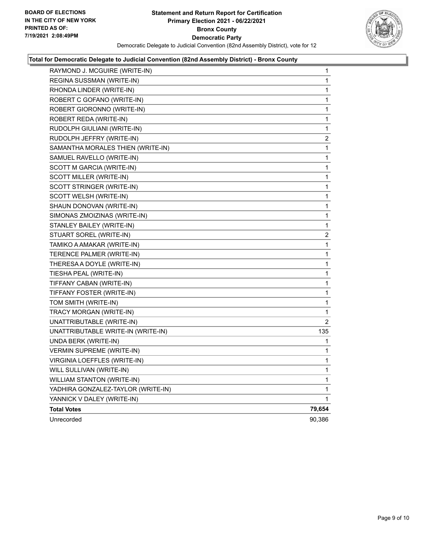

| RAYMOND J. MCGUIRE (WRITE-IN)      | 1              |
|------------------------------------|----------------|
| REGINA SUSSMAN (WRITE-IN)          | 1              |
| RHONDA LINDER (WRITE-IN)           | 1              |
| ROBERT C GOFANO (WRITE-IN)         | 1              |
| ROBERT GIORONNO (WRITE-IN)         | 1              |
| ROBERT REDA (WRITE-IN)             | 1              |
| RUDOLPH GIULIANI (WRITE-IN)        | 1              |
| RUDOLPH JEFFRY (WRITE-IN)          | 2              |
| SAMANTHA MORALES THIEN (WRITE-IN)  | 1              |
| SAMUEL RAVELLO (WRITE-IN)          | 1              |
| SCOTT M GARCIA (WRITE-IN)          | 1              |
| SCOTT MILLER (WRITE-IN)            | 1              |
| SCOTT STRINGER (WRITE-IN)          | 1              |
| SCOTT WELSH (WRITE-IN)             | 1              |
| SHAUN DONOVAN (WRITE-IN)           | 1              |
| SIMONAS ZMOIZINAS (WRITE-IN)       | 1              |
| STANLEY BAILEY (WRITE-IN)          | 1              |
| STUART SOREL (WRITE-IN)            | 2              |
| TAMIKO A AMAKAR (WRITE-IN)         | 1              |
| TERENCE PALMER (WRITE-IN)          | 1              |
| THERESA A DOYLE (WRITE-IN)         | 1              |
| TIESHA PEAL (WRITE-IN)             | 1              |
| TIFFANY CABAN (WRITE-IN)           | 1              |
| TIFFANY FOSTER (WRITE-IN)          | 1              |
| TOM SMITH (WRITE-IN)               | 1              |
| TRACY MORGAN (WRITE-IN)            | 1              |
| UNATTRIBUTABLE (WRITE-IN)          | $\overline{2}$ |
| UNATTRIBUTABLE WRITE-IN (WRITE-IN) | 135            |
| UNDA BERK (WRITE-IN)               | 1              |
| <b>VERMIN SUPREME (WRITE-IN)</b>   | 1              |
| VIRGINIA LOEFFLES (WRITE-IN)       | 1              |
| WILL SULLIVAN (WRITE-IN)           | 1              |
| <b>WILLIAM STANTON (WRITE-IN)</b>  | 1              |
| YADHIRA GONZALEZ-TAYLOR (WRITE-IN) | 1              |
| YANNICK V DALEY (WRITE-IN)         | 1              |
| <b>Total Votes</b>                 | 79,654         |
| Unrecorded                         | 90,386         |